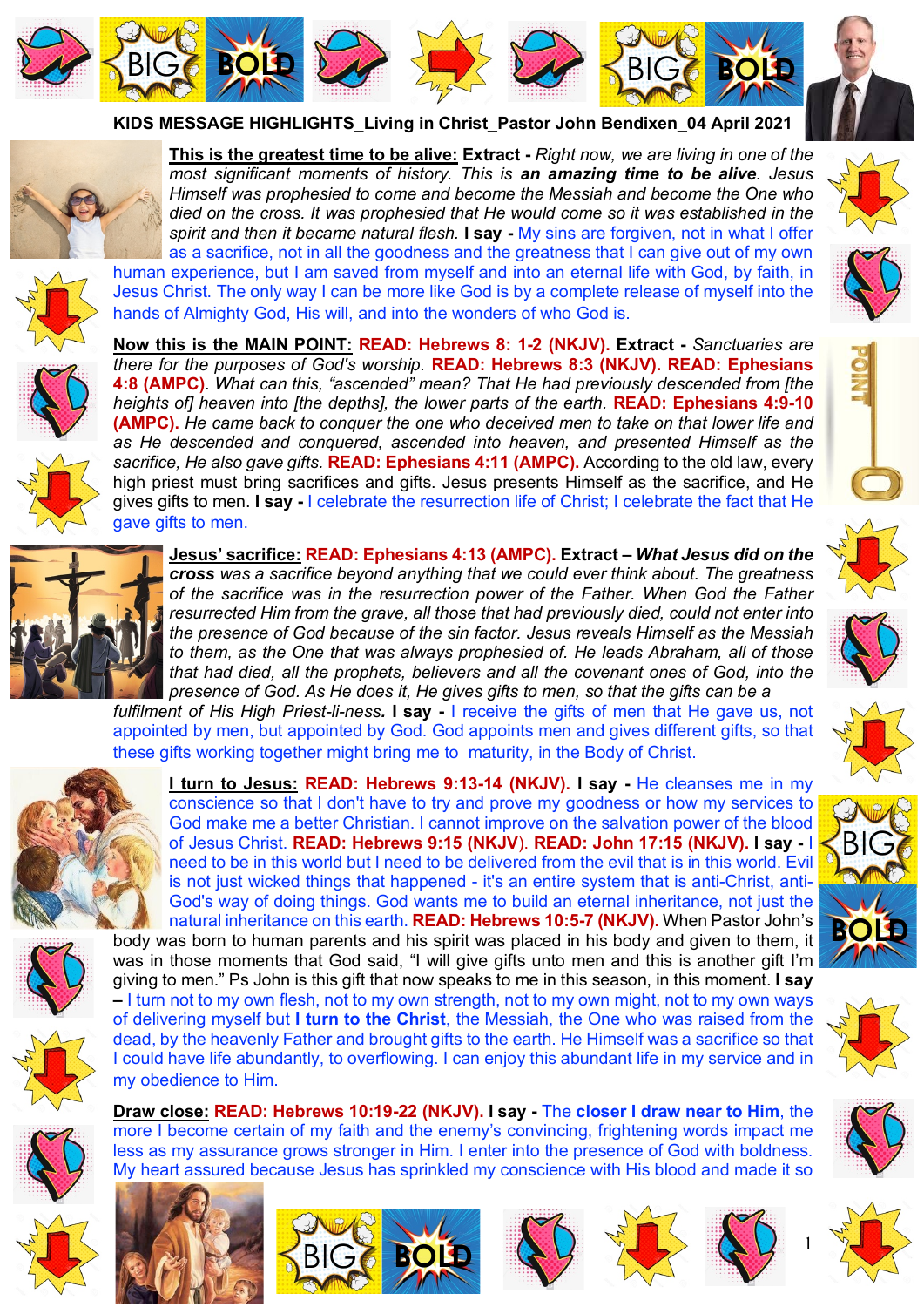









**KIDS MESSAGE HIGHLIGHTS\_Living in Christ\_Pastor John Bendixen\_04 April 2021** 



**This is the greatest time to be alive: Extract -** *Right now, we are living in one of the most significant moments of history. This is an amazing time to be alive. Jesus Himself was prophesied to come and become the Messiah and become the One who died on the cross. It was prophesied that He would come so it was established in the spirit and then it became natural flesh.* **I say -** My sins are forgiven, not in what I offer as a sacrifice, not in all the goodness and the greatness that I can give out of my own

human experience, but I am saved from myself and into an eternal life with God, by faith, in Jesus Christ. The only way I can be more like God is by a complete release of myself into the



hands of Almighty God, His will, and into the wonders of who God is. **Now this is the MAIN POINT: READ: Hebrews 8: 1-2 (NKJV). Extract -** *Sanctuaries are there for the purposes of God's worship.* **READ: Hebrews 8:3 (NKJV). READ: Ephesians 4:8 (AMPC)**. *What can this, "ascended" mean? That He had previously descended from [the heights of] heaven into [the depths], the lower parts of the earth.* **READ: Ephesians 4:9-10 (AMPC).** *He came back to conquer the one who deceived men to take on that lower life and as He descended and conquered, ascended into heaven, and presented Himself as the sacrifice, He also gave gifts.* **READ: Ephesians 4:11 (AMPC).** According to the old law, every

high priest must bring sacrifices and gifts. Jesus presents Himself as the sacrifice, and He gives gifts to men. **I say -** I celebrate the resurrection life of Christ; I celebrate the fact that He gave gifts to men.



**Jesus' sacrifice: READ: Ephesians 4:13 (AMPC). Extract –** *What Jesus did on the cross was a sacrifice beyond anything that we could ever think about. The greatness of the sacrifice was in the resurrection power of the Father. When God the Father resurrected Him from the grave, all those that had previously died, could not enter into the presence of God because of the sin factor. Jesus reveals Himself as the Messiah to them, as the One that was always prophesied of. He leads Abraham, all of those that had died, all the prophets, believers and all the covenant ones of God, into the presence of God. As He does it, He gives gifts to men, so that the gifts can be a* 

*fulfilment of His High Priest-li-ness.* **I say -** I receive the gifts of men that He gave us, not appointed by men, but appointed by God. God appoints men and gives different gifts, so that these gifts working together might bring me to maturity, in the Body of Christ.



**I turn to Jesus: READ: Hebrews 9:13-14 (NKJV). I say -** He cleanses me in my conscience so that I don't have to try and prove my goodness or how my services to God make me a better Christian. I cannot improve on the salvation power of the blood of Jesus Christ. **READ: Hebrews 9:15 (NKJV**). **READ: John 17:15 (NKJV). I say -** I need to be in this world but I need to be delivered from the evil that is in this world. Evil is not just wicked things that happened - it's an entire system that is anti-Christ, anti-God's way of doing things. God wants me to build an eternal inheritance, not just the natural inheritance on this earth. **READ: Hebrews 10:5-7 (NKJV).** When Pastor John's body was born to human parents and his spirit was placed in his body and given to them, it was in those moments that God said. "I will give gifts unto men and this is another gift I'm giving to men." Ps John is this gift that now speaks to me in this season, in this moment. **I say** 

**–** I turn not to my own flesh, not to my own strength, not to my own might, not to my own ways of delivering myself but **I turn to the Christ**, the Messiah, the One who was raised from the dead, by the heavenly Father and brought gifts to the earth. He Himself was a sacrifice so that I could have life abundantly, to overflowing. I can enjoy this abundant life in my service and in my obedience to Him.

**Draw close: READ: Hebrews 10:19-22 (NKJV). I say -** The **closer I draw near to Him**, the more I become certain of my faith and the enemy's convincing, frightening words impact me less as my assurance grows stronger in Him. I enter into the presence of God with boldness. My heart assured because Jesus has sprinkled my conscience with His blood and made it so































1